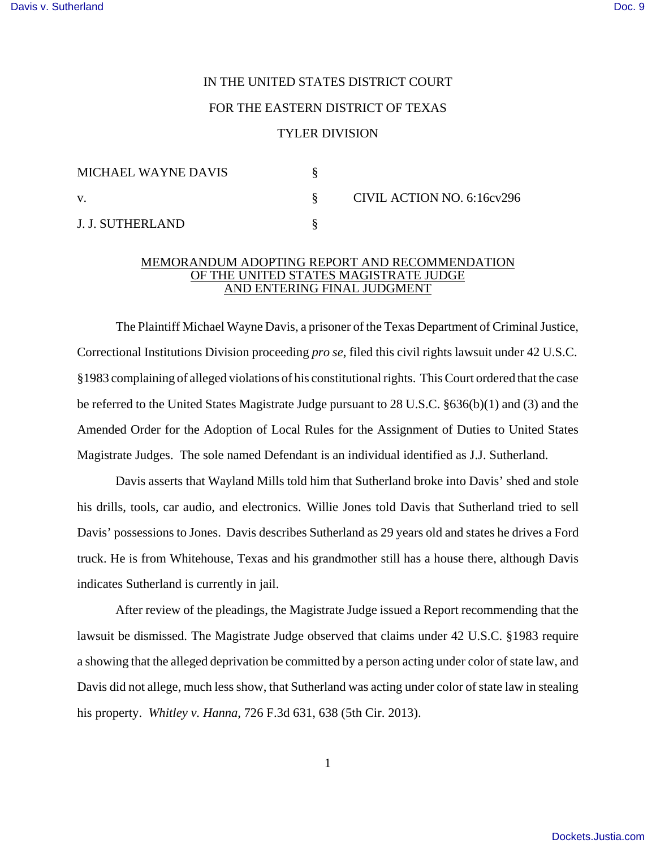## IN THE UNITED STATES DISTRICT COURT FOR THE EASTERN DISTRICT OF TEXAS

## TYLER DIVISION

| MICHAEL WAYNE DAVIS |  | CIVIL ACTION NO. 6:16cv296 |
|---------------------|--|----------------------------|
| $\mathbf{V}$        |  |                            |
| J. J. SUTHERLAND    |  |                            |

## MEMORANDUM ADOPTING REPORT AND RECOMMENDATION OF THE UNITED STATES MAGISTRATE JUDGE AND ENTERING FINAL JUDGMENT

The Plaintiff Michael Wayne Davis, a prisoner of the Texas Department of Criminal Justice, Correctional Institutions Division proceeding *pro se*, filed this civil rights lawsuit under 42 U.S.C. §1983 complaining of alleged violations of his constitutional rights. This Court ordered that the case be referred to the United States Magistrate Judge pursuant to 28 U.S.C. §636(b)(1) and (3) and the Amended Order for the Adoption of Local Rules for the Assignment of Duties to United States Magistrate Judges. The sole named Defendant is an individual identified as J.J. Sutherland.

Davis asserts that Wayland Mills told him that Sutherland broke into Davis' shed and stole his drills, tools, car audio, and electronics. Willie Jones told Davis that Sutherland tried to sell Davis' possessions to Jones. Davis describes Sutherland as 29 years old and states he drives a Ford truck. He is from Whitehouse, Texas and his grandmother still has a house there, although Davis indicates Sutherland is currently in jail.

After review of the pleadings, the Magistrate Judge issued a Report recommending that the lawsuit be dismissed. The Magistrate Judge observed that claims under 42 U.S.C. §1983 require a showing that the alleged deprivation be committed by a person acting under color of state law, and Davis did not allege, much less show, that Sutherland was acting under color of state law in stealing his property. *Whitley v. Hanna*, 726 F.3d 631, 638 (5th Cir. 2013).